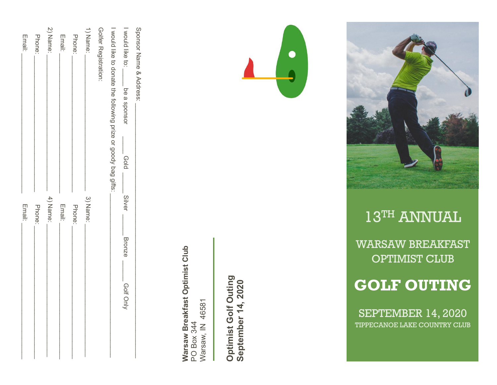| Sponsor Name & Address:                                        |          |               |             |
|----------------------------------------------------------------|----------|---------------|-------------|
| I would like to:<br>- be a sponsor<br>plog                     | Silver   | <b>Bronze</b> | - Golf Only |
| I would like to donate the following prize or goody bag gifts: |          |               |             |
| Golfer Registration:                                           |          |               |             |
| 1) Name:                                                       | 3) Name: |               |             |
| Phone:                                                         | Phone:   |               |             |
| <b>Email:</b>                                                  | Email:   |               |             |
| 2) Name:                                                       | 4) Name: |               |             |
| Phone:                                                         | Phone:   |               |             |
| Email:                                                         | Email:   |               |             |
|                                                                |          |               |             |

Warsaw Breakfast Optimist Club **Warsaw Breakfast Optimist Club** 46581 Warsaw, IN 46581 **PO Box 344** Warsaw, IN PO Box 344

Optimist Golf Outing **Optimist Golf Outing** September 14, 2020 **September 14, 2020**



# **GOLF OUTING**

WARSAW BREAKFAST OPTIMIST CLUB

# $1\overline{\text{3}^{\text{TH}}}$  ANNUAL